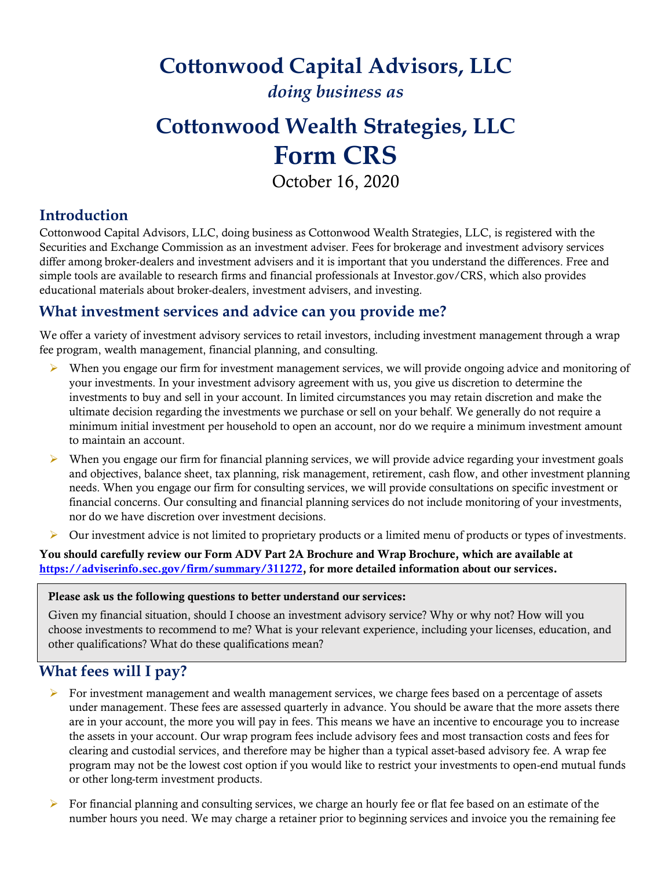## **Cottonwood Capital Advisors, LLC**

*doing business as*

# **Cottonwood Wealth Strategies, LLC Form CRS**

October 16, 2020

#### **Introduction**

Cottonwood Capital Advisors, LLC, doing business as Cottonwood Wealth Strategies, LLC, is registered with the Securities and Exchange Commission as an investment adviser. Fees for brokerage and investment advisory services differ among broker-dealers and investment advisers and it is important that you understand the differences. Free and simple tools are available to research firms and financial professionals at Investor.gov/CRS, which also provides educational materials about broker-dealers, investment advisers, and investing.

#### **What investment services and advice can you provide me?**

We offer a variety of investment advisory services to retail investors, including investment management through a wrap fee program, wealth management, financial planning, and consulting.

- $\triangleright$  When you engage our firm for investment management services, we will provide ongoing advice and monitoring of your investments. In your investment advisory agreement with us, you give us discretion to determine the investments to buy and sell in your account. In limited circumstances you may retain discretion and make the ultimate decision regarding the investments we purchase or sell on your behalf. We generally do not require a minimum initial investment per household to open an account, nor do we require a minimum investment amount to maintain an account.
- $\triangleright$  When you engage our firm for financial planning services, we will provide advice regarding your investment goals and objectives, balance sheet, tax planning, risk management, retirement, cash flow, and other investment planning needs. When you engage our firm for consulting services, we will provide consultations on specific investment or financial concerns. Our consulting and financial planning services do not include monitoring of your investments, nor do we have discretion over investment decisions.
- Our investment advice is not limited to proprietary products or a limited menu of products or types of investments.

You should carefully review our Form ADV Part 2A Brochure and Wrap Brochure, which are available at [https://adviserinfo.sec.gov/firm/summary/311](https://adviserinfo.sec.gov/firm/summary/31)272, for more detailed information about our services.

#### Please ask us the following questions to better understand our services:

Given my financial situation, should I choose an investment advisory service? Why or why not? How will you choose investments to recommend to me? What is your relevant experience, including your licenses, education, and other qualifications? What do these qualifications mean?

### **What fees will I pay?**

- $\triangleright$  For investment management and wealth management services, we charge fees based on a percentage of assets under management. These fees are assessed quarterly in advance. You should be aware that the more assets there are in your account, the more you will pay in fees. This means we have an incentive to encourage you to increase the assets in your account. Our wrap program fees include advisory fees and most transaction costs and fees for clearing and custodial services, and therefore may be higher than a typical asset-based advisory fee. A wrap fee program may not be the lowest cost option if you would like to restrict your investments to open-end mutual funds or other long-term investment products.
- For financial planning and consulting services, we charge an hourly fee or flat fee based on an estimate of the number hours you need. We may charge a retainer prior to beginning services and invoice you the remaining fee